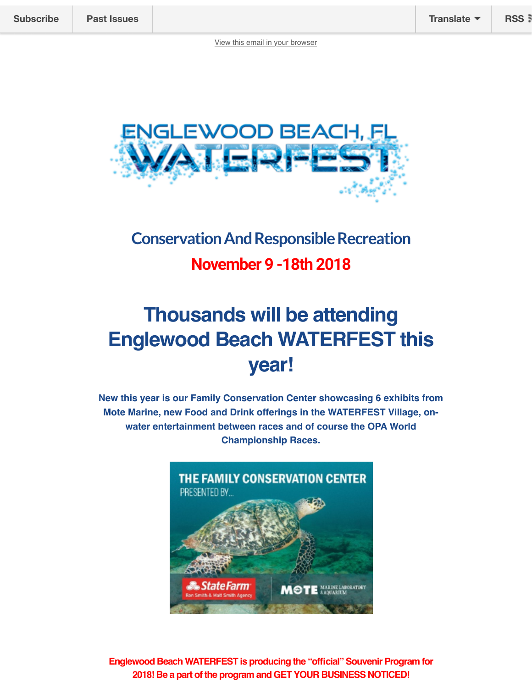

# **Conservation And Responsible Recreation November 9 -18th 2018**

# **Thousands will be attending Englewood Beach WATERFEST this year!**

**New this year is our Family Conservation Center showcasing 6 exhibits from Mote Marine, new Food and Drink offerings in the WATERFEST Village, onwater entertainment between races and of course the OPA World Championship Races.**



**Englewood Beach WATERFEST is producing the "official" Souvenir Program for 2018! Be a part of the program and GET YOUR BUSINESS NOTICED!**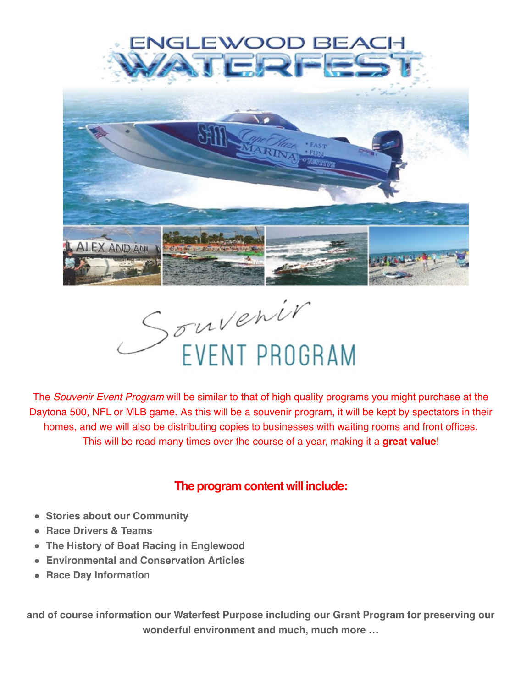



The *Souvenir Event Program* will be similar to that of high quality programs you might purchase at the Daytona 500, NFL or MLB game. As this will be a souvenir program, it will be kept by spectators in their homes, and we will also be distributing copies to businesses with waiting rooms and front offices. This will be read many times over the course of a year, making it a **great value**!

#### **The program content will include:**

- **Stories about our Community**
- **Race Drivers & Teams**
- **The History of Boat Racing in Englewood**
- **Environmental and Conservation Articles**
- **Race Day Information**

**and of course information our Waterfest Purpose including our Grant Program for preserving our wonderful environment and much, much more …**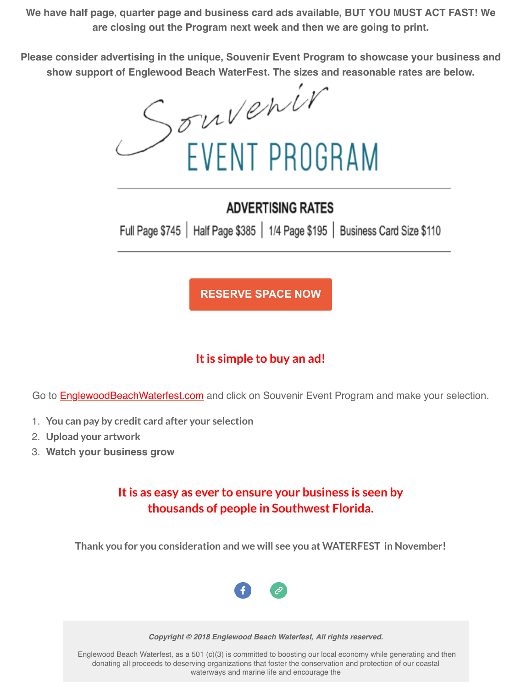**We have half page, quarter page and business card ads available, BUT YOU MUST ACT FAST! We are closing out the Program next week and then we are going to print.**

**Please consider advertising in the unique, Souvenir Event Program to showcase your business and show support of Englewood Beach WaterFest. The sizes and reasonable rates are below.**

Souvenir<br>EVENT PROGRAM

### **ADVERTISING RATES**

Full Page \$745 | Half Page \$385 | 1/4 Page \$195 | Business Card Size \$110

**RESERVE SPACE NOW**

## **It is simple to buy an ad!**

Go to **EnglewoodBeachWaterfest.com** and click on Souvenir Event Program and make your selection.

- 1. **You can pay by credit card after your selection**
- 2. **Upload your artwork**
- 3. **Watch your business grow**

#### **It is as easy as ever to ensure your business is seen by thousands of people in Southwest Florida.**

**Thank you for you consideration and we will see you at WATERFEST in November!**



*Copyright © 2018 Englewood Beach Waterfest, All rights reserved.*

 Englewood Beach Waterfest, as a 501 (c)(3) is committed to boosting our local economy while generating and then donating all proceeds to deserving organizations that foster the conservation and protection of our coastal waterways and marine life and encourage the